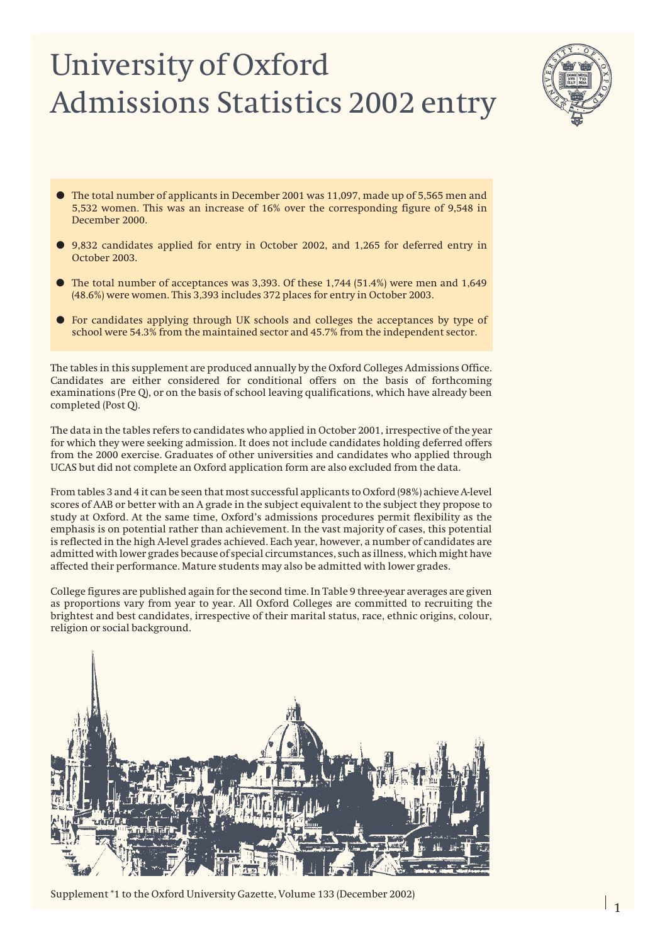# University of Oxford Admissions Statistics 2002 entry



- The total number of applicants in December 2001 was 11,097, made up of 5,565 men and 5,532 women. This was an increase of 16% over the corresponding figure of 9,548 in December 2000.
- 9,832 candidates applied for entry in October 2002, and 1,265 for deferred entry in October 2003.
- $\bullet$  The total number of acceptances was 3,393. Of these 1,744 (51.4%) were men and 1,649 (48.6%) were women. This 3,393 includes 372 places for entry in October 2003.
- For candidates applying through UK schools and colleges the acceptances by type of school were 54.3% from the maintained sector and 45.7% from the independent sector.

The tables in this supplement are produced annually by the Oxford Colleges Admissions Office. Candidates are either considered for conditional offers on the basis of forthcoming examinations (Pre Q), or on the basis of school leaving qualifications, which have already been completed (Post Q).

The data in the tables refers to candidates who applied in October 2001, irrespective of the year for which they were seeking admission. It does not include candidates holding deferred offers from the 2000 exercise. Graduates of other universities and candidates who applied through UCAS but did not complete an Oxford application form are also excluded from the data.

From tables 3 and 4 it can be seen that most successful applicants to Oxford (98%) achieve A-level scores of AAB or better with an A grade in the subject equivalent to the subject they propose to study at Oxford. At the same time, Oxford's admissions procedures permit flexibility as the emphasis is on potential rather than achievement. In the vast majority of cases, this potential is reflected in the high A-level grades achieved. Each year, however, a number of candidates are admitted with lower grades because of special circumstances, such as illness, which might have affected their performance. Mature students may also be admitted with lower grades.

College figures are published again for the second time. In Table 9 three-year averages are given as proportions vary from year to year. All Oxford Colleges are committed to recruiting the brightest and best candidates, irrespective of their marital status, race, ethnic origins, colour, religion or social background.



Supplement \*1 to the Oxford University Gazette, Volume 133 (December 2002)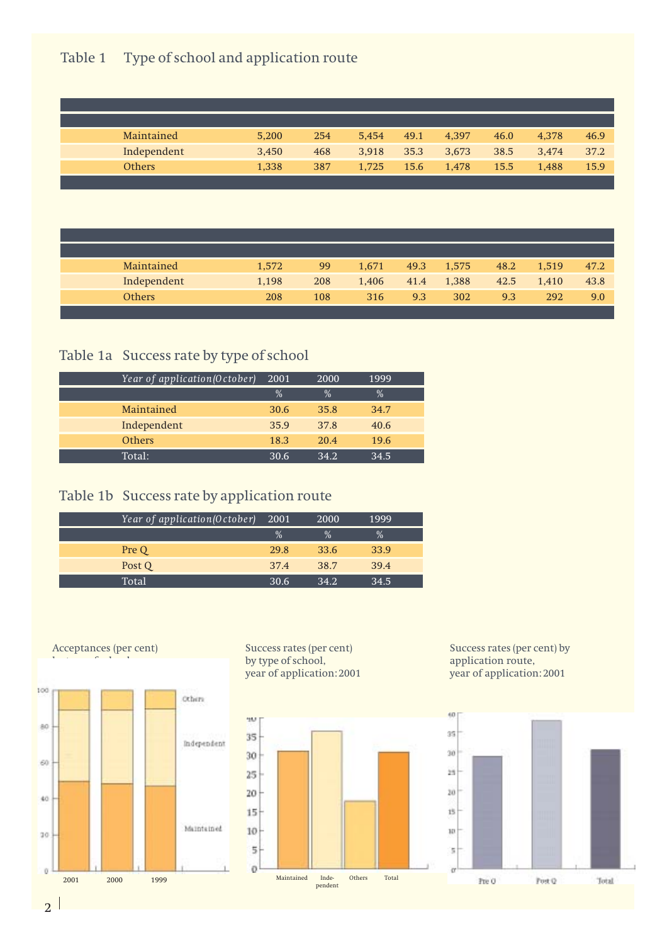# Table 1 Type of school and application route

| Maintained    | 5,200 | 254 | 5.454 | 49.1 | 4,397 | 46.0 | 4.378 | 46.9 |
|---------------|-------|-----|-------|------|-------|------|-------|------|
| Independent   | 3,450 | 468 | 3,918 | 35.3 | 3,673 | 38.5 | 3.474 | 37.2 |
| <b>Others</b> | 1.338 | 387 | 1.725 | 15.6 | 1,478 | 15.5 | 1.488 | 15.9 |
|               |       |     |       |      |       |      |       |      |

| Maintained    | 1,572 | 99  | 1.671 | 49.3 | 1.575 | 48.2 | 1.519 | 47.2 |
|---------------|-------|-----|-------|------|-------|------|-------|------|
| Independent   | 1,198 | 208 | 1,406 | 41.4 | 1,388 | 42.5 | 1.410 | 43.8 |
| <b>Others</b> | 208   | 108 | 316   | 9.3  | 302   | 9.3  | 292   | 9.0  |
|               |       |     |       |      |       |      |       |      |

# Table 1a Success rate by type of school

| Year of application (October) | 2001          | 2000 | 1999          |  |
|-------------------------------|---------------|------|---------------|--|
|                               | $\frac{0}{0}$ | $\%$ | $\frac{0}{2}$ |  |
| Maintained                    | 30.6          | 35.8 | 34.7          |  |
| Independent                   | 35.9          | 37.8 | 40.6          |  |
| <b>Others</b>                 | 18.3          | 20.4 | 19.6          |  |
| Total:                        | 30.6          | 34 2 | 34.5          |  |

# Table 1b Success rate by application route

| Year of application (October) | 2001 | 2000 | 1999          |  |
|-------------------------------|------|------|---------------|--|
|                               | $\%$ | $\%$ | $\frac{0}{2}$ |  |
| Pre Q                         | 29.8 | 33.6 | 33.9          |  |
| Post Q                        | 37.4 | 38.7 | 39.4          |  |
| Total                         | 30.6 | 34.2 | 34.5          |  |



Success rates (per cent) by type of school, year of application: 2001



Success rates (per cent) by application route, year of application: 2001

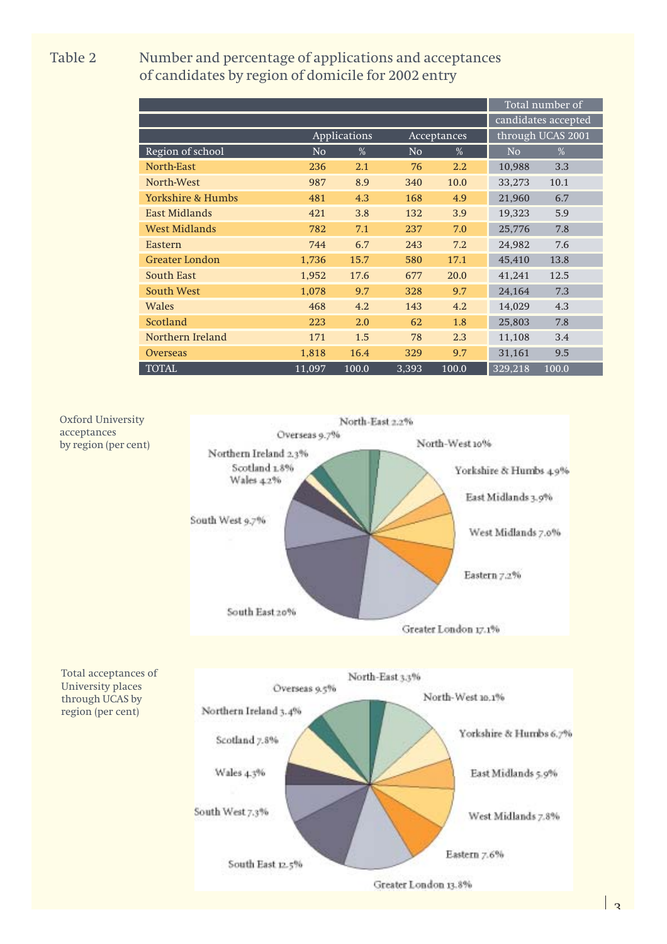Table 2 Number and percentage of applications and acceptances of candidates by region of domicile for 2002 entry

|                       |                |              |                |                  |                     | Total number of   |
|-----------------------|----------------|--------------|----------------|------------------|---------------------|-------------------|
|                       |                |              |                |                  | candidates accepted |                   |
|                       |                | Applications |                | Acceptances      |                     | through UCAS 2001 |
| Region of school      | N <sub>0</sub> | $\%$         | N <sub>o</sub> | $\%$             | N <sub>o</sub>      | $\frac{0}{6}$     |
| North-East            | 236            | 2.1          | 76             | $2.2\phantom{0}$ | 10,988              | 3.3               |
| North-West            | 987            | 8.9          | 340            | 10.0             | 33,273              | 10.1              |
| Yorkshire & Humbs     | 481            | 4.3          | 168            | 4.9              | 21,960              | 6.7               |
| East Midlands         | 421            | 3.8          | 132            | 3.9              | 19,323              | 5.9               |
| <b>West Midlands</b>  | 782            | 7.1          | 237            | 7.0              | 25,776              | 7.8               |
| Eastern               | 744            | 6.7          | 243            | 7.2              | 24,982              | 7.6               |
| <b>Greater London</b> | 1,736          | 15.7         | 580            | 17.1             | 45,410              | 13.8              |
| South East            | 1,952          | 17.6         | 677            | 20.0             | 41,241              | 12.5              |
| South West            | 1,078          | 9.7          | 328            | 9.7              | 24,164              | 7.3               |
| <b>Wales</b>          | 468            | 4.2          | 143            | 4.2              | 14,029              | 4.3               |
| Scotland              | 223            | 2.0          | 62             | 1.8              | 25,803              | 7.8               |
| Northern Ireland      | 171            | 1.5          | 78             | 2.3              | 11,108              | 3.4               |
| <b>Overseas</b>       | 1,818          | 16.4         | 329            | 9.7              | 31,161              | 9.5               |
| <b>TOTAL</b>          | 11,097         | 100.0        | 3.393          | 100.0            | 329,218             | 100.0             |



 $\vert$  2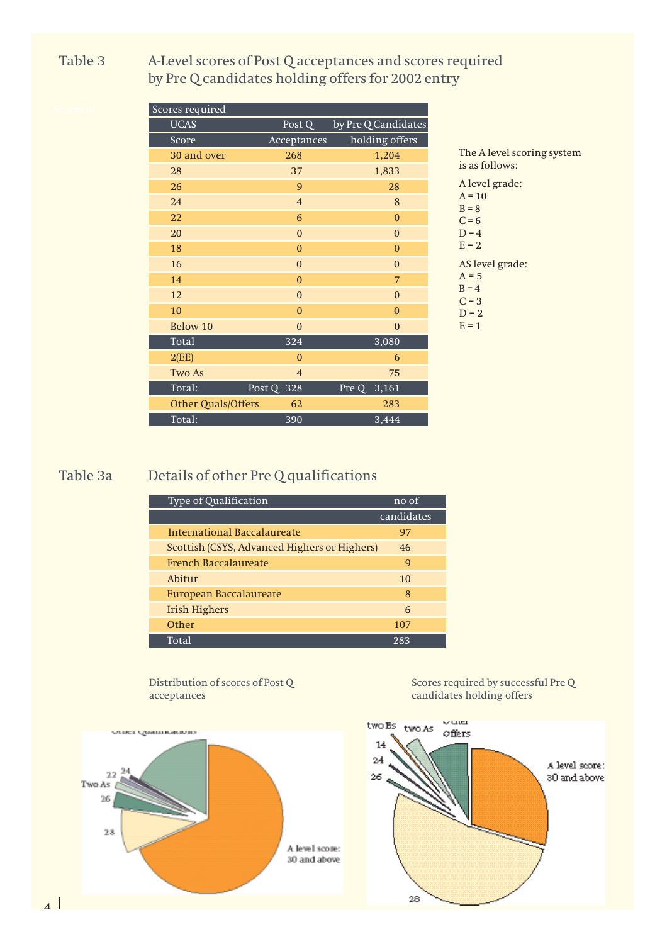# Table 3 A-Level scores of Post Q acceptances and scores required by Pre Q candidates holding offers for 2002 entry

| Scores required    |                  |                                    |
|--------------------|------------------|------------------------------------|
| <b>UCAS</b>        | Post Q           | by Pre Q Candidates                |
| Score              | Acceptances      | holding offers                     |
| 30 and over        | 268              | 1,204                              |
| 28                 | 37               | 1,833                              |
| 26                 | 9                | 28                                 |
| 24                 | $\overline{4}$   | 8                                  |
| 22                 | $\overline{6}$   | $\mathbf{0}$                       |
| 20                 | $\mathbf{0}$     | $\mathbf{0}$                       |
| 18                 | $\boldsymbol{0}$ | $\mathbf{0}$                       |
| 16                 | $\boldsymbol{0}$ | $\Omega$                           |
| 14                 | $\overline{0}$   | 7                                  |
| 12                 | $\mathbf{0}$     | $\mathbf{0}$                       |
| 10                 | $\boldsymbol{0}$ | $\Omega$                           |
| Below 10           | $\mathbf{0}$     | $\mathbf{0}$                       |
| Total              | 324              | 3,080                              |
| 2(EE)              | $\overline{0}$   | 6                                  |
| Two As             | $\overline{4}$   | 75                                 |
| Total:             | Post Q 328       | $\overline{\text{Pre Q}}$<br>3,161 |
| Other Quals/Offers | 62               | 283                                |
| Total:             | 390              | 3,444                              |

level scoring system ollows: l grade:  $A = 10$ rel grade:

# Table 3a Details of other Pre Q qualifications

| <b>Type of Qualification</b>                 | no of      |
|----------------------------------------------|------------|
|                                              | candidates |
| International Baccalaureate                  | 97         |
| Scottish (CSYS, Advanced Highers or Highers) | 46         |
| French Baccalaureate                         | 9          |
| Abitur                                       | 10         |
| European Baccalaureate                       | 8          |
| <b>Irish Highers</b>                         | 6          |
| Other                                        | 107        |
| Total                                        | 283        |

### Distribution of scores of Post Q acceptances



### Scores required by successful Pre Q candidates holding offers

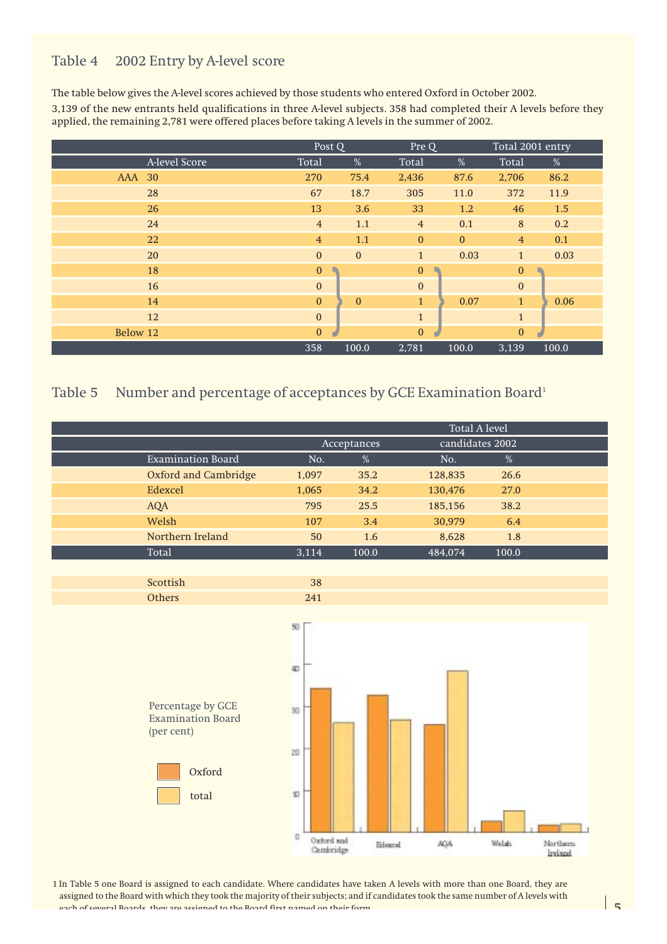## Table 4 2002 Entry by A-level score

The table below gives the A-level scores achieved by those students who entered Oxford in October 2002. 3,139 of the new entrants held qualifications in three A-level subjects. 358 had completed their A levels before they applied, the remaining 2,781 were offered places before taking A levels in the summer of 2002.

|                  | Post Q            |              | Pre Q          |              | Total 2001 entry |       |
|------------------|-------------------|--------------|----------------|--------------|------------------|-------|
| A-level Score    | Total             | $\%$         | Total          | %            | Total            | %     |
| <b>AAA</b><br>30 | 270               | 75.4         | 2,436          | 87.6         | 2,706            | 86.2  |
| 28               | 67                | 18.7         | 305            | 11.0         | 372              | 11.9  |
| 26               | 13                | 3.6          | 33             | 1.2          | 46               | 1.5   |
| 24               | $\overline{4}$    | 1.1          | $\overline{4}$ | 0.1          | 8                | 0.2   |
| 22               | $\overline{4}$    | 1.1          | $\mathbf{0}$   | $\mathbf{0}$ | $\overline{4}$   | 0.1   |
| 20               | $\mathbf{0}$      | $\mathbf{0}$ | $\mathbf{1}$   | 0.03         | $\mathbf{1}$     | 0.03  |
| 18               | $\mathbf{0}$<br>D |              | $\mathbf{0}$   |              | $\mathbf{0}$     |       |
| 16               | $\mathbf{0}$      |              | $\mathbf{0}$   |              | $\bf{0}$         |       |
| 14               | $\mathbf{0}$      | $\mathbf{0}$ | $\mathbf{1}$   | 0.07         | $\mathbf{1}$     | 0.06  |
| 12               | $\mathbf{0}$      |              | $\mathbf{1}$   |              | $\mathbf{1}$     |       |
| Below 12         | $\mathbf{0}$      |              | $\mathbf{0}$   |              | $\mathbf{0}$     |       |
|                  | 358               | 100.0        | 2,781          | 100.0        | 3,139            | 100.0 |

# Table 5 Number and percentage of acceptances by GCE Examination Board<sup>1</sup>

|                          |       | Total A level. |                 |               |  |  |  |
|--------------------------|-------|----------------|-----------------|---------------|--|--|--|
|                          |       | Acceptances    | candidates 2002 |               |  |  |  |
| <b>Examination Board</b> | No.   | %              | No.             | $\frac{0}{2}$ |  |  |  |
| Oxford and Cambridge     | 1,097 | 35.2           | 128,835         | 26.6          |  |  |  |
| Edexcel                  | 1,065 | 34.2           | 130,476         | 27.0          |  |  |  |
| <b>AQA</b>               | 795   | 25.5           | 185,156         | 38.2          |  |  |  |
| Welsh                    | 107   | 3.4            | 30,979          | 6.4           |  |  |  |
| Northern Ireland         | 50    | 1.6            | 8,628           | 1.8           |  |  |  |
| Total                    | 3.114 | 100.0          | 484.074         | 100.0         |  |  |  |

Scottish 38 Others 241



1 In Table 5 one Board is assigned to each candidate. Where candidates have taken A levels with more than one Board, they are assigned to the Board with which they took the majority of their subjects; and if candidates took the same number of A levels with assigned to the board with which they took the majority of their subjects; and if candidates took the same number of A levels with  $\sim$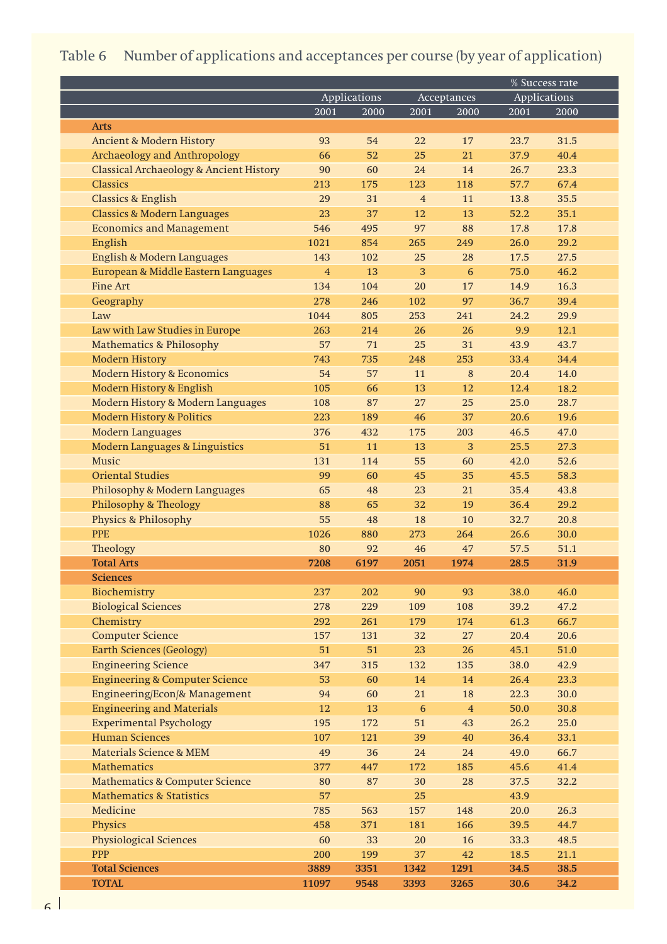# Table 6 Number of applications and acceptances per course (by year of application)

|                                                    |                |              |                |                | % Success rate |              |  |
|----------------------------------------------------|----------------|--------------|----------------|----------------|----------------|--------------|--|
|                                                    |                | Applications |                | Acceptances    |                | Applications |  |
|                                                    | 2001           | 2000         | 2001           | 2000           | 2001           | 2000         |  |
| <b>Arts</b>                                        |                |              |                |                |                |              |  |
| <b>Ancient &amp; Modern History</b>                | 93             | 54           | 22             | 17             | 23.7           | 31.5         |  |
| Archaeology and Anthropology                       | 66             | 52           | 25             | 21             | 37.9           | 40.4         |  |
| <b>Classical Archaeology &amp; Ancient History</b> | 90             | 60           | 24             | 14             | 26.7           | 23.3         |  |
| <b>Classics</b>                                    | 213            | 175          | 123            | 118            | 57.7           | 67.4         |  |
| <b>Classics &amp; English</b>                      | 29             | 31           | $\overline{4}$ | 11             | 13.8           | 35.5         |  |
| <b>Classics &amp; Modern Languages</b>             | 23             | 37           | 12             | 13             | 52.2           | 35.1         |  |
| <b>Economics and Management</b>                    | 546            | 495          | 97             | 88             | 17.8           | 17.8         |  |
| English                                            | 1021           | 854          | 265            | 249            | 26.0           | 29.2         |  |
| English & Modern Languages                         | 143            | 102          | 25             | 28             | 17.5           | 27.5         |  |
| European & Middle Eastern Languages                | $\overline{4}$ | 13           | 3              | 6              | 75.0           | 46.2         |  |
| <b>Fine Art</b>                                    | 134            | 104          | 20             | 17             | 14.9           | 16.3         |  |
| Geography                                          | 278            | 246          | 102            | 97             | 36.7           | 39.4         |  |
| Law                                                | 1044           | 805          | 253            | 241            | 24.2           | 29.9         |  |
| Law with Law Studies in Europe                     | 263            | 214          | 26             | 26             | 9.9            | 12.1         |  |
| <b>Mathematics &amp; Philosophy</b>                | 57             | 71           | 25             | 31             | 43.9           | 43.7         |  |
| <b>Modern History</b>                              | 743            | 735          | 248            | 253            | 33.4           | 34.4         |  |
| <b>Modern History &amp; Economics</b>              | 54             | 57           | 11             | 8              | 20.4           | 14.0         |  |
| Modern History & English                           | 105            | 66           | 13             | 12             | 12.4           | 18.2         |  |
| Modern History & Modern Languages                  | 108            | 87           | 27             | 25             | 25.0           | 28.7         |  |
| <b>Modern History &amp; Politics</b>               | 223            | 189          | 46             | 37             | 20.6           | 19.6         |  |
| <b>Modern Languages</b>                            | 376            | 432          | 175            | 203            | 46.5           | 47.0         |  |
| Modern Languages & Linguistics                     | 51             | 11           | 13             | 3              | 25.5           | 27.3         |  |
| Music                                              | 131            | 114          | 55             | 60             | 42.0           | 52.6         |  |
| <b>Oriental Studies</b>                            | 99             | 60           | 45             | 35             | 45.5           | 58.3         |  |
| Philosophy & Modern Languages                      | 65             | 48           | 23             | 21             | 35.4           | 43.8         |  |
| Philosophy & Theology                              | 88             | 65           | 32             | 19             | 36.4           | 29.2         |  |
| Physics & Philosophy                               | 55             | 48           | 18             | 10             | 32.7           | 20.8         |  |
| <b>PPE</b>                                         | 1026           | 880          | 273            | 264            | 26.6           | 30.0         |  |
| Theology                                           | 80             | 92           | 46             | 47             | 57.5           | 51.1         |  |
| <b>Total Arts</b>                                  | 7208           | 6197         | 2051           | 1974           | 28.5           | 31.9         |  |
| <b>Sciences</b>                                    |                |              |                |                |                |              |  |
| Biochemistry                                       | 237            | 202          | 90             | 93             | 38.0           | 46.0         |  |
| <b>Biological Sciences</b>                         | 278            | 229          | 109            | 108            | 39.2           | 47.2         |  |
| Chemistry                                          | 292            | 261          | 179            | 174            | 61.3           | 66.7         |  |
| <b>Computer Science</b>                            | 157            | 131          | 32             | $27\,$         | 20.4           | 20.6         |  |
| <b>Earth Sciences (Geology)</b>                    | 51             | 51           | 23             | 26             | 45.1           | 51.0         |  |
| <b>Engineering Science</b>                         | 347            | 315          | 132            | 135            | 38.0           | 42.9         |  |
| <b>Engineering &amp; Computer Science</b>          | 53             | 60           | 14             | 14             | 26.4           | 23.3         |  |
| Engineering/Econ/& Management                      | 94             | 60           | 21             | 18             | 22.3           | 30.0         |  |
| <b>Engineering and Materials</b>                   | 12             | 13           | 6              | $\overline{4}$ | 50.0           | 30.8         |  |
| <b>Experimental Psychology</b>                     | 195            | 172          | 51             | 43             | 26.2           | 25.0         |  |
| Human Sciences                                     | 107            | 121          | 39             | 40             | 36.4           | 33.1         |  |
| <b>Materials Science &amp; MEM</b>                 | 49             | 36           | 24             | 24             | 49.0           | 66.7         |  |
| <b>Mathematics</b>                                 | 377            | 447          | 172            | 185            | 45.6           | 41.4         |  |
| <b>Mathematics &amp; Computer Science</b>          | 80             | 87           | 30             | 28             | 37.5           | 32.2         |  |
| <b>Mathematics &amp; Statistics</b>                | 57             |              | 25             |                | 43.9           |              |  |
| Medicine                                           | 785            | 563          | 157            | 148            | 20.0           | 26.3         |  |
| Physics                                            | 458            | 371          | 181            | 166            | 39.5           | 44.7         |  |
| <b>Physiological Sciences</b>                      | 60             | 33           | 20             | 16             | 33.3           | 48.5         |  |
| PPP                                                | 200            | 199          | 37             | 42             | 18.5           | 21.1         |  |
| <b>Total Sciences</b>                              | 3889           | 3351         | 1342           | 1291           | 34.5           | 38.5         |  |
| <b>TOTAL</b>                                       | 11097          | 9548         | 3393           | 3265           | 30.6           | 34.2         |  |
|                                                    |                |              |                |                |                |              |  |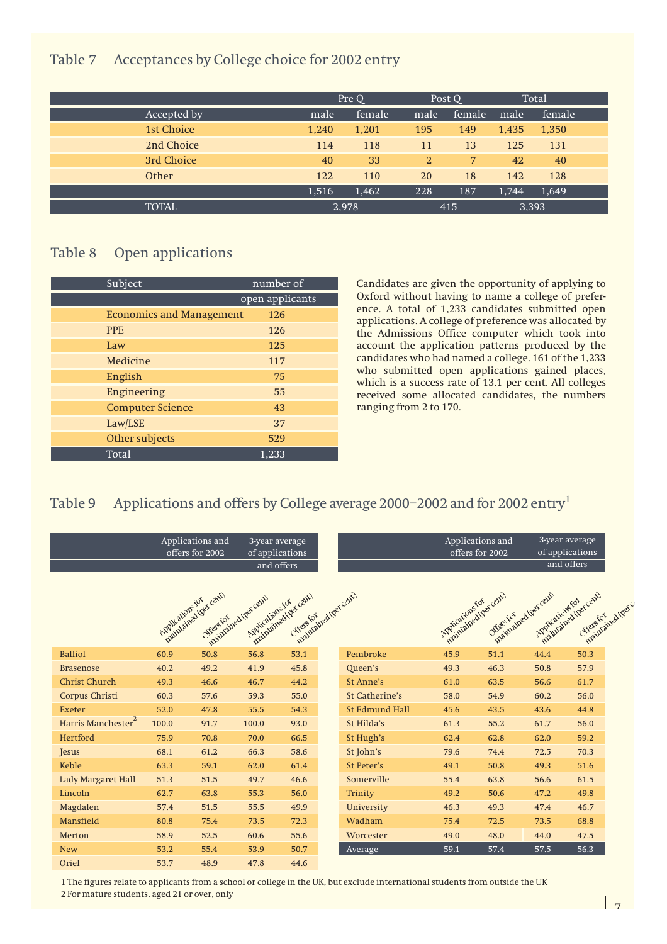# Table 7 Acceptances by College choice for 2002 entry

|              |       | Pre Q  |                | Post O |       | Total  |
|--------------|-------|--------|----------------|--------|-------|--------|
| Accepted by  | male  | female | male           | female | male  | female |
| 1st Choice   | 1,240 | 1,201  | 195            | 149    | 1,435 | 1,350  |
| 2nd Choice   | 114   | 118    | 11             | 13     | 125   | 131    |
| 3rd Choice   | 40    | 33     | $\overline{2}$ | 7      | 42    | 40     |
| Other        | 122   | 110    | 20             | 18     | 142   | 128    |
|              | 1,516 | 1,462  | 228            | 187    | 1,744 | 1,649  |
| <b>TOTAL</b> |       | 2,978  |                | 415    |       | 3,393  |

# Table 8 Open applications

| Subject                         | number of       |
|---------------------------------|-----------------|
|                                 | open applicants |
| <b>Economics and Management</b> | 126             |
| <b>PPE</b>                      | 126             |
| Law                             | 125             |
| Medicine                        | 117             |
| English                         | 75              |
| Engineering                     | 55              |
| <b>Computer Science</b>         | 43              |
| Law/LSE                         | 37              |
| Other subjects                  | 529             |
| Total                           | 1,233           |

Candidates are given the opportunity of applying to Oxford without having to name a college of preference. A total of 1,233 candidates submitted open applications. A college of preference was allocated by the Admissions Office computer which took into account the application patterns produced by the candidates who had named a college. 161 of the 1,233 who submitted open applications gained places, which is a success rate of 13.1 per cent. All colleges received some allocated candidates, the numbers ranging from 2 to 170.

# Table 9 Applications and offers by College average 2000–2002 and for 2002 entry<sup>1</sup>

|                      | Applications and<br>offers for 2002 |                                    | 3-year average<br>of applications<br>and offers |                                                             |                       | Applications and<br>offers for 2002              |           | 3-year average<br>of applications<br>and offers |                                                        |
|----------------------|-------------------------------------|------------------------------------|-------------------------------------------------|-------------------------------------------------------------|-----------------------|--------------------------------------------------|-----------|-------------------------------------------------|--------------------------------------------------------|
|                      | Applications for                    | maintained (per cent)<br>Offersfor | maintained they cent!<br>Applications for       | maintained (per cent)<br>maintained (per cent)<br>offersfor |                       | maintained (ret cent)<br><b>Applications for</b> | Offersfor | minimized bet cent<br>Applications for          | maintained (per cent)<br>maintained there<br>Offersfor |
| <b>Balliol</b>       | 60.9                                | 50.8                               | 56.8                                            | 53.1                                                        | Pembroke              | 45.9                                             | 51.1      | 44.4                                            | 50.3                                                   |
| <b>Brasenose</b>     | 40.2                                | 49.2                               | 41.9                                            | 45.8                                                        | Queen's               | 49.3                                             | 46.3      | 50.8                                            | 57.9                                                   |
| <b>Christ Church</b> | 49.3                                | 46.6                               | 46.7                                            | 44.2                                                        | <b>St Anne's</b>      | 61.0                                             | 63.5      | 56.6                                            | 61.7                                                   |
| Corpus Christi       | 60.3                                | 57.6                               | 59.3                                            | 55.0                                                        | St Catherine's        | 58.0                                             | 54.9      | 60.2                                            | 56.0                                                   |
| <b>Exeter</b>        | 52.0                                | 47.8                               | 55.5                                            | 54.3                                                        | <b>St Edmund Hall</b> | 45.6                                             | 43.5      | 43.6                                            | 44.8                                                   |
| Harris Manchester    | 100.0                               | 91.7                               | 100.0                                           | 93.0                                                        | St Hilda's            | 61.3                                             | 55.2      | 61.7                                            | 56.0                                                   |
| Hertford             | 75.9                                | 70.8                               | 70.0                                            | 66.5                                                        | St Hugh's             | 62.4                                             | 62.8      | 62.0                                            | 59.2                                                   |
| Jesus                | 68.1                                | 61.2                               | 66.3                                            | 58.6                                                        | St John's             | 79.6                                             | 74.4      | 72.5                                            | 70.3                                                   |
| Keble                | 63.3                                | 59.1                               | 62.0                                            | 61.4                                                        | <b>St Peter's</b>     | 49.1                                             | 50.8      | 49.3                                            | 51.6                                                   |
| Lady Margaret Hall   | 51.3                                | 51.5                               | 49.7                                            | 46.6                                                        | Somerville            | 55.4                                             | 63.8      | 56.6                                            | 61.5                                                   |
| Lincoln              | 62.7                                | 63.8                               | 55.3                                            | 56.0                                                        | Trinity               | 49.2                                             | 50.6      | 47.2                                            | 49.8                                                   |
| Magdalen             | 57.4                                | 51.5                               | 55.5                                            | 49.9                                                        | University            | 46.3                                             | 49.3      | 47.4                                            | 46.7                                                   |
| Mansfield            | 80.8                                | 75.4                               | 73.5                                            | 72.3                                                        | Wadham                | 75.4                                             | 72.5      | 73.5                                            | 68.8                                                   |
| Merton               | 58.9                                | 52.5                               | 60.6                                            | 55.6                                                        | Worcester             | 49.0                                             | 48.0      | 44.0                                            | 47.5                                                   |
| <b>New</b>           | 53.2                                | 55.4                               | 53.9                                            | 50.7                                                        | Average               | 59.1                                             | 57.4      | 57.5                                            | 56.3                                                   |
| Oriel                | 53.7                                | 48.9                               | 47.8                                            | 44.6                                                        |                       |                                                  |           |                                                 |                                                        |

1 The figures relate to applicants from a school or college in the UK, but exclude international students from outside the UK 2 For mature students, aged 21 or over, only